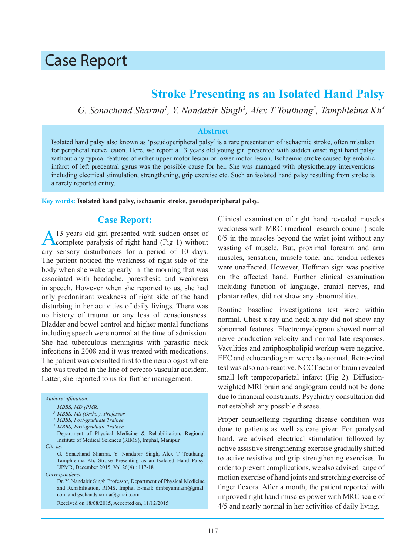# Case Report

# **Stroke Presenting as an Isolated Hand Palsy**

*G. Sonachand Sharma<sup>1</sup> , Y. Nandabir Singh2 , Alex T Touthang<sup>3</sup> , Tamphleima Kh<sup>4</sup>*

#### **Abstract**

Isolated hand palsy also known as 'pseudoperipheral palsy' is a rare presentation of ischaemic stroke, often mistaken for peripheral nerve lesion. Here, we report a 13 years old young girl presented with sudden onset right hand palsy without any typical features of either upper motor lesion or lower motor lesion. Ischaemic stroke caused by embolic infarct of left precentral gyrus was the possible cause for her. She was managed with physiotherapy interventions including electrical stimulation, strengthening, grip exercise etc. Such an isolated hand palsy resulting from stroke is a rarely reported entity.

**Key words: Isolated hand palsy, ischaemic stroke, pseudoperipheral palsy.**

#### **Case Report:**

13 years old girl presented with sudden onset of complete paralysis of right hand (Fig 1) without any sensory disturbances for a period of 10 days. The patient noticed the weakness of right side of the body when she wake up early in the morning that was associated with headache, paresthesia and weakness in speech. However when she reported to us, she had only predoninant weakness of right side of the hand disturbing in her activities of daily livings. There was no history of trauma or any loss of consciousness. Bladder and bowel control and higher mental functions including speech were normal at the time of admission. She had tuberculous meningitis with parasitic neck infections in 2008 and it was treated with medications. The patient was consulted first to the neurologist where she was treated in the line of cerebro vascular accident. Latter, she reported to us for further management.

*Authors' affiliation:*

- *4 MBBS, Post-graduate Trainee*
- Department of Physical Medicine & Rehabilitation, Regional Institute of Medical Sciences (RIMS), Imphal, Manipur

*Cite as:*

 G. Sonachand Sharma, Y. Nandabir Singh, Alex T Touthang, Tamphleima Kh, Stroke Presenting as an Isolated Hand Palsy. IJPMR, December 2015; Vol 26(4) : 117-18

*Correspondence:*

Dr. Y. Nandabir Singh Professor, Department of Physical Medicine and Rehabilitation, RIMS, Imphal E-mail: drnbsyumnam@gmal. com and gschandsharma@gmail.com

Received on 18/08/2015, Accepted on, 11/12/2015

Clinical examination of right hand revealed muscles weakness with MRC (medical research council) scale 0/5 in the muscles beyond the wrist joint without any wasting of muscle. But, proximal forearm and arm muscles, sensation, muscle tone, and tendon reflexes were unaffected. However, Hoffman sign was positive on the affected hand. Further clinical examination including function of language, cranial nerves, and plantar reflex, did not show any abnormalities.

Routine baseline investigations test were within normal. Chest x-ray and neck x-ray did not show any abnormal features. Electromyelogram showed normal nerve conduction velocity and normal late responses. Vaculities and antiphospholipid workup were negative. EEC and echocardiogram were also normal. Retro-viral test was also non-reactive. NCCT scan of brain revealed small left temporoparietal infarct (Fig 2). Diffusionweighted MRI brain and angiogram could not be done due to financial constraints. Psychiatry consultation did not establish any possible disease.

Proper counselleing regarding disease condition was done to patients as well as care giver. For paralysed hand, we advised electrical stimulation followed by active assistive strengthening exercise gradually shifted to active resistive and grip strengthening exercises. In order to prevent complications, we also advised range of motion exercise of hand joints and stretching exercise of finger flexors. After a month, the patient reported with improved right hand muscles power with MRC scale of 4/5 and nearly normal in her activities of daily living.

*<sup>1</sup> MBBS, MD (PMR)* 

*<sup>2</sup> MBBS, MS (Ortho.), Professor*

*<sup>3</sup> MBBS, Post-graduate Trainee*